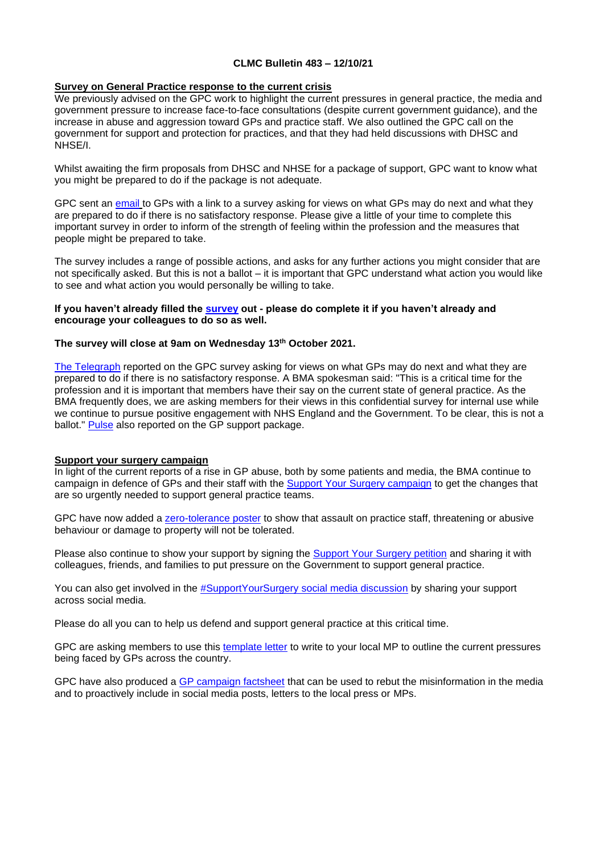## **CLMC Bulletin 483 – 12/10/21**

## **Survey on General Practice response to the current crisis**

We previously advised on the GPC work to highlight the current pressures in general practice, the media and government pressure to increase face-to-face consultations (despite current government guidance), and the increase in abuse and aggression toward GPs and practice staff. We also outlined the GPC call on the government for support and protection for practices, and that they had held discussions with DHSC and NHSE/I.

Whilst awaiting the firm proposals from DHSC and NHSE for a package of support, GPC want to know what you might be prepared to do if the package is not adequate.

GPC sent an [email](https://bma-mail.org.uk/t/JVX-7KFMP-EC5E0CEA0D8A5317JCJOU4BA186991484320BE/cr.aspx) to GPs with a link to a survey asking for views on what GPs may do next and what they are prepared to do if there is no satisfactory response. Please give a little of your time to complete this important survey in order to inform of the strength of feeling within the profession and the measures that people might be prepared to take.

The survey includes a range of possible actions, and asks for any further actions you might consider that are not specifically asked. But this is not a ballot – it is important that GPC understand what action you would like to see and what action you would personally be willing to take.

#### **If you haven't already filled the [survey](https://www.surveymonkey.co.uk/r/BMA_GP) out - please do complete it if you haven't already and encourage your colleagues to do so as well.**

## **The survey will close at 9am on Wednesday 13th October 2021.**

[The Telegraph](https://www.telegraph.co.uk/news/2021/10/01/gps-could-threaten-cut-hours-quit-row-face-to-face-appointments/) reported on the GPC survey asking for views on what GPs may do next and what they are prepared to do if there is no satisfactory response. A BMA spokesman said: "This is a critical time for the profession and it is important that members have their say on the current state of general practice. As the BMA frequently does, we are asking members for their views in this confidential survey for internal use while we continue to pursue positive engagement with NHS England and the Government. To be clear, this is not a ballot." [Pulse](https://www.pulsetoday.co.uk/news/breaking-news/gp-support-package-tackling-workload-and-abuse-expected-this-week/) also reported on the GP support package.

#### **Support your surgery campaign**

In light of the current reports of a rise in GP abuse, both by some patients and media, the BMA continue to campaign in defence of GPs and their staff with the [Support Your Surgery campaign](https://www.bma.org.uk/advice-and-support/covid-19/gp-practices/support-your-surgery) to get the changes that are so urgently needed to support general practice teams.

GPC have now added a [zero-tolerance poster](https://www.bma.org.uk/media/4667/bma-gp-abuse-poster-full-colour-oct21.pdf) to show that assault on practice staff, threatening or abusive behaviour or damage to property will not be tolerated.

Please also continue to show your support by signing the [Support Your Surgery petition](https://e-activist.com/page/88027/petition/1) and sharing it with colleagues, friends, and families to put pressure on the Government to support general practice.

You can also get involved in the [#SupportYourSurgery social media discussion](https://twitter.com/hashtag/SupportYourSurgery?src=hashtag) by sharing your support across social media.

Please do all you can to help us defend and support general practice at this critical time.

GPC are asking members to use this [template letter](https://bma-mail.org.uk/t/JVX-7JQ76-JCJOU4-4KLUIY-1/c.aspx) to write to your local MP to outline the current pressures being faced by GPs across the country.

GPC have also produced a [GP campaign factsheet](https://www.bma.org.uk/media/4643/bma-gp-campaign-factsheet-sept-2021.pdf) that can be used to rebut the misinformation in the media and to proactively include in social media posts, letters to the local press or MPs.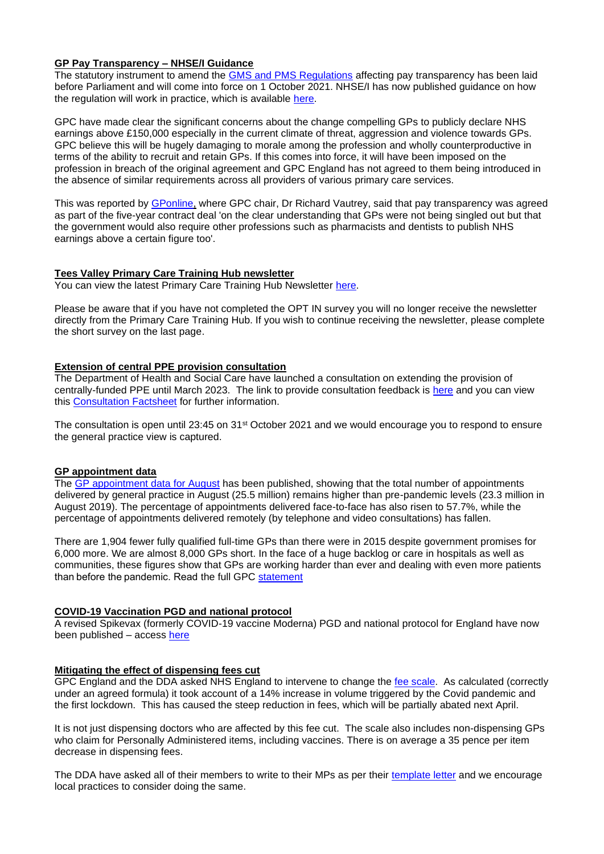# **GP Pay Transparency – NHSE/I Guidance**

The statutory instrument to amend the [GMS and PMS Regulations](https://www.legislation.gov.uk/uksi/2021/995/contents/made) affecting pay transparency has been laid before Parliament and will come into force on 1 October 2021. NHSE/I has now published guidance on how the regulation will work in practice, which is available [here.](https://www.england.nhs.uk/wp-content/uploads/2021/10/B0939-general-practice-pay-transparency-guidance-v1.pdf)

GPC have made clear the significant concerns about the change compelling GPs to publicly declare NHS earnings above £150,000 especially in the current climate of threat, aggression and violence towards GPs. GPC believe this will be hugely damaging to morale among the profession and wholly counterproductive in terms of the ability to recruit and retain GPs. If this comes into force, it will have been imposed on the profession in breach of the original agreement and GPC England has not agreed to them being introduced in the absence of similar requirements across all providers of various primary care services.

This was reported by [GPonline,](https://www.gponline.com/list-gps-earning-150000-published-year-end/article/1729564) where GPC chair, Dr Richard Vautrey, said that pay transparency was agreed as part of the five-year contract deal 'on the clear understanding that GPs were not being singled out but that the government would also require other professions such as pharmacists and dentists to publish NHS earnings above a certain figure too'.

# **Tees Valley Primary Care Training Hub newsletter**

You can view the latest Primary Care Training Hub Newsletter [here.](https://www.clevelandlmc.org.uk/website/IGP367/files/Samantha%20Cave%20%E2%80%93%20Primary%20Care%20Training%20Hub%20South%20ICP%20Workforce%20Transformation%20Manager%20sam.cave@hee.nhs.uk%20Cat%20Lowe%20-%20Primary%20Care%20Training%20Hub%20South%20Locality%20Programme%20Coordinator%20Cat.Lowe@hee.nhs.uk.pdf)

Please be aware that if you have not completed the OPT IN survey you will no longer receive the newsletter directly from the Primary Care Training Hub. If you wish to continue receiving the newsletter, please complete the short survey on the last page.

#### **Extension of central PPE provision consultation**

The Department of Health and Social Care have launched a consultation on extending the provision of centrally-funded PPE until March 2023. The link to provide consultation feedback is [here](https://www.gov.uk/government/consultations/extending-free-ppe-to-the-health-and-care-sector) and you can view this [Consultation Factsheet](https://www.clevelandlmc.org.uk/website/IGP367/files/PPE%20Consultation%20Factsheet%20-%20for%20health%20and%20care.pptx) for further information.

The consultation is open until 23:45 on 31<sup>st</sup> October 2021 and we would encourage you to respond to ensure the general practice view is captured.

#### **GP appointment data**

The [GP appointment data for August](https://digital.nhs.uk/data-and-information/publications/statistical/appointments-in-general-practice/august-2021) has been published, showing that the total number of appointments delivered by general practice in August (25.5 million) remains higher than pre-pandemic levels (23.3 million in August 2019). The percentage of appointments delivered face-to-face has also risen to 57.7%, while the percentage of appointments delivered remotely (by telephone and video consultations) has fallen.

There are 1,904 fewer fully qualified full-time GPs than there were in 2015 despite government promises for 6,000 more. We are almost 8,000 GPs short. In the face of a huge backlog or care in hospitals as well as communities, these figures show that GPs are working harder than ever and dealing with even more patients than before the pandemic. Read the full GPC [statement](https://www.bma.org.uk/bma-media-centre/gp-appointment-levels-higher-than-pre-pandemic)

#### **COVID-19 Vaccination PGD and national protocol**

A revised Spikevax (formerly COVID-19 vaccine Moderna) PGD and national protocol for England have now been published – access [here](https://www.gov.uk/government/collections/covid-19-vaccination-programme#protocols-and-patient-group-directions-(pgds))

#### **Mitigating the effect of dispensing fees cut**

GPC England and the DDA asked NHS England to intervene to change the [fee scale.](https://assets.publishing.service.gov.uk/government/uploads/system/uploads/attachment_data/file/1022913/general-medical-services-statement-of-financial-entitlements-no-2-directions-2021-oct.pdf) As calculated (correctly under an agreed formula) it took account of a 14% increase in volume triggered by the Covid pandemic and the first lockdown. This has caused the steep reduction in fees, which will be partially abated next April.

It is not just dispensing doctors who are affected by this fee cut. The scale also includes non-dispensing GPs who claim for Personally Administered items, including vaccines. There is on average a 35 pence per item decrease in dispensing fees.

The DDA have asked all of their members to write to their MPs as per their [template letter](https://dispensingdoctor.org/wp-content/uploads/2021/10/Template-MP-Letter-FINAL.docx) and we encourage local practices to consider doing the same.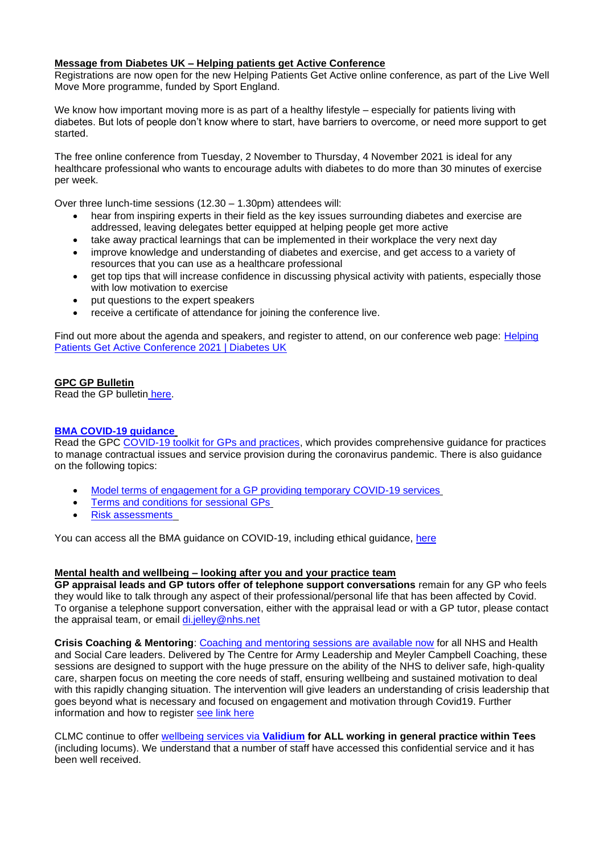# **Message from Diabetes UK – Helping patients get Active Conference**

Registrations are now open for the new Helping Patients Get Active online conference, as part of the Live Well Move More programme, funded by Sport England.

We know how important moving more is as part of a healthy lifestyle – especially for patients living with diabetes. But lots of people don't know where to start, have barriers to overcome, or need more support to get started.

The free online conference from Tuesday, 2 November to Thursday, 4 November 2021 is ideal for any healthcare professional who wants to encourage adults with diabetes to do more than 30 minutes of exercise per week.

Over three lunch-time sessions (12.30 – 1.30pm) attendees will:

- hear from inspiring experts in their field as the key issues surrounding diabetes and exercise are addressed, leaving delegates better equipped at helping people get more active
- take away practical learnings that can be implemented in their workplace the very next day
- improve knowledge and understanding of diabetes and exercise, and get access to a variety of resources that you can use as a healthcare professional
- get top tips that will increase confidence in discussing physical activity with patients, especially those with low motivation to exercise
- put questions to the expert speakers
- receive a certificate of attendance for joining the conference live.

Find out more about the agenda and speakers, and register to attend, on our conference web page: Helping [Patients Get Active Conference 2021 | Diabetes UK](https://eur03.safelinks.protection.outlook.com/?url=https%3A%2F%2Fwww.diabetes.org.uk%2Fprofessionals%2Fconferences%2Fhelping-patients-get-active&data=04%7C01%7CRob.Miller%40stockton.gov.uk%7Cd9d71fbb22114703f0f608d98ca85931%7Cc947251d81c44c9b995df3d3b7a048c7%7C0%7C0%7C637695477073348801%7CUnknown%7CTWFpbGZsb3d8eyJWIjoiMC4wLjAwMDAiLCJQIjoiV2luMzIiLCJBTiI6Ik1haWwiLCJXVCI6Mn0%3D%7C2000&sdata=2yOOj%2B2gKioDlqcrYFOIR4hXdQZvmCtBlpskgcbffxc%3D&reserved=0)

## **GPC GP Bulletin**

Read the GP bulletin [here.](https://bma-mail.org.uk/t/JVX-7KDYH-EC5E0CEA0D8A5317JCJOU4BA186991484320BE/cr.aspx)

# **[BMA COVID-19 guidance](https://www.bma.org.uk/advice-and-support/covid-19)**

Read the GPC [COVID-19 toolkit for GPs and practices,](https://www.bma.org.uk/advice-and-support/covid-19/practical-guidance/covid-19-toolkit-for-gps-and-gp-practices) which provides comprehensive guidance for practices to manage contractual issues and service provision during the coronavirus pandemic. There is also guidance on the following topics:

- [Model terms of engagement for a GP providing temporary COVID-19 services](https://www.bma.org.uk/advice-and-support/covid-19/your-contract/covid-19-model-terms-for-gps)
- [Terms and conditions for sessional GPs](https://www.bma.org.uk/advice-and-support/covid-19/your-contract/covid-19-your-terms-and-conditions/your-terms-and-conditions-sessional-gps)
- [Risk assessments](https://www.bma.org.uk/advice-and-support/covid-19/your-health/covid-19-risk-assessment)

You can access all the BMA guidance on COVID-19, including ethical guidance, [here](https://www.bma.org.uk/advice-and-support/covid-19)

# **Mental health and wellbeing – looking after you and your practice team**

**GP appraisal leads and GP tutors offer of telephone support conversations** remain for any GP who feels they would like to talk through any aspect of their professional/personal life that has been affected by Covid. To organise a telephone support conversation, either with the appraisal lead or with a GP tutor, please contact the appraisal team, or email [di.jelley@nhs.net](mailto:di.jelley@nhs.net)

**Crisis Coaching & Mentoring**: [Coaching and mentoring sessions are available now](https://people.nhs.uk/support-for-leaders/coaching-and-mentoring-for-leaders/) for all NHS and Health and Social Care leaders. Delivered by The Centre for Army Leadership and Meyler Campbell Coaching, these sessions are designed to support with the huge pressure on the ability of the NHS to deliver safe, high-quality care, sharpen focus on meeting the core needs of staff, ensuring wellbeing and sustained motivation to deal with this rapidly changing situation. The intervention will give leaders an understanding of crisis leadership that goes beyond what is necessary and focused on engagement and motivation through Covid19. Further information and how to register [see link here](https://people.nhs.uk/support-for-leaders/coaching-and-mentoring-for-leaders/)

CLMC continue to offer [wellbeing services via](https://www.clevelandlmc.org.uk/page1.aspx?p=20&t=2) **Validium for ALL working in general practice within Tees** (including locums). We understand that a number of staff have accessed this confidential service and it has been well received.